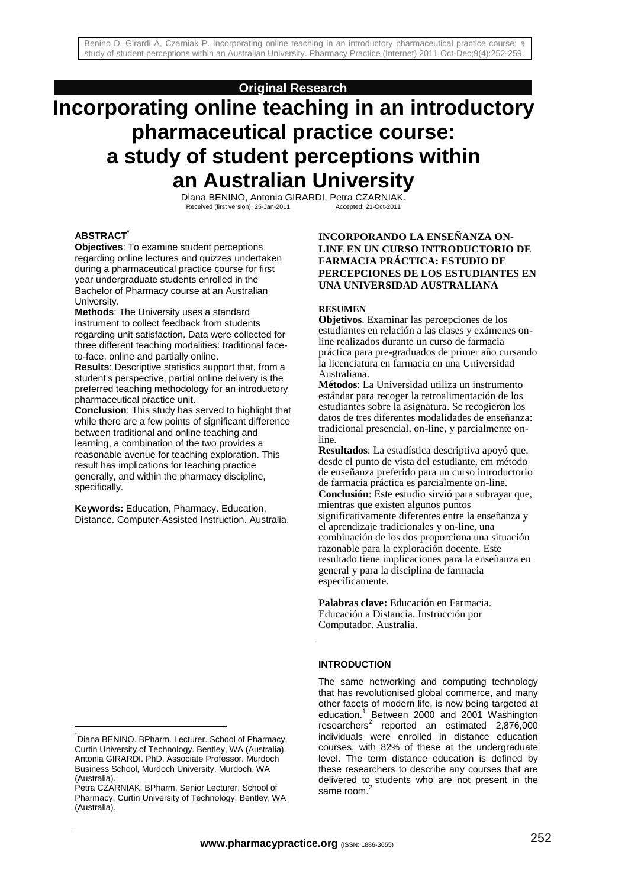## **Original Research**

# **Incorporating online teaching in an introductory pharmaceutical practice course: a study of student perceptions within an Australian University**

Diana BENINO, Antonia GIRARDI, Petra CZARNIAK.<br>Received (first version): 25-Jan-2011 Accepted: 21-Oct-2011

#### **ABSTRACT\***

**Objectives**: To examine student perceptions regarding online lectures and quizzes undertaken during a pharmaceutical practice course for first year undergraduate students enrolled in the Bachelor of Pharmacy course at an Australian University.

**Methods**: The University uses a standard instrument to collect feedback from students regarding unit satisfaction. Data were collected for three different teaching modalities: traditional faceto-face, online and partially online.

**Results**: Descriptive statistics support that, from a student's perspective, partial online delivery is the preferred teaching methodology for an introductory pharmaceutical practice unit.

**Conclusion**: This study has served to highlight that while there are a few points of significant difference between traditional and online teaching and learning, a combination of the two provides a reasonable avenue for teaching exploration. This result has implications for teaching practice generally, and within the pharmacy discipline, specifically.

**Keywords:** Education, Pharmacy. Education, Distance. Computer-Assisted Instruction. Australia.

 $\overline{a}$ 

### **INCORPORANDO LA ENSEÑANZA ON-LINE EN UN CURSO INTRODUCTORIO DE FARMACIA PRÁCTICA: ESTUDIO DE PERCEPCIONES DE LOS ESTUDIANTES EN UNA UNIVERSIDAD AUSTRALIANA**

#### **RESUMEN**

**Objetivos**. Examinar las percepciones de los estudiantes en relación a las clases y exámenes online realizados durante un curso de farmacia práctica para pre-graduados de primer año cursando la licenciatura en farmacia en una Universidad Australiana.

**Métodos**: La Universidad utiliza un instrumento estándar para recoger la retroalimentación de los estudiantes sobre la asignatura. Se recogieron los datos de tres diferentes modalidades de enseñanza: tradicional presencial, on-line, y parcialmente online.

**Resultados**: La estadística descriptiva apoyó que, desde el punto de vista del estudiante, em método de enseñanza preferido para un curso introductorio de farmacia práctica es parcialmente on-line. **Conclusión**: Este estudio sirvió para subrayar que, mientras que existen algunos puntos significativamente diferentes entre la enseñanza y el aprendizaje tradicionales y on-line, una combinación de los dos proporciona una situación razonable para la exploración docente. Este resultado tiene implicaciones para la enseñanza en general y para la disciplina de farmacia específicamente.

**Palabras clave:** Educación en Farmacia. Educación a Distancia. Instrucción por Computador. Australia.

### **INTRODUCTION**

The same networking and computing technology that has revolutionised global commerce, and many other facets of modern life, is now being targeted at education.<sup>1</sup> Between 2000 and 2001 Washington  $researchers<sup>2</sup>$  reported an estimated 2,876,000 individuals were enrolled in distance education courses, with 82% of these at the undergraduate level. The term distance education is defined by these researchers to describe any courses that are delivered to students who are not present in the same room.<sup>2</sup>

<sup>\*</sup> Diana BENINO. BPharm. Lecturer. School of Pharmacy, Curtin University of Technology. Bentley, WA (Australia). Antonia GIRARDI. PhD. Associate Professor. Murdoch Business School, Murdoch University. Murdoch, WA (Australia).

Petra CZARNIAK. BPharm. Senior Lecturer. School of Pharmacy, Curtin University of Technology. Bentley, WA (Australia).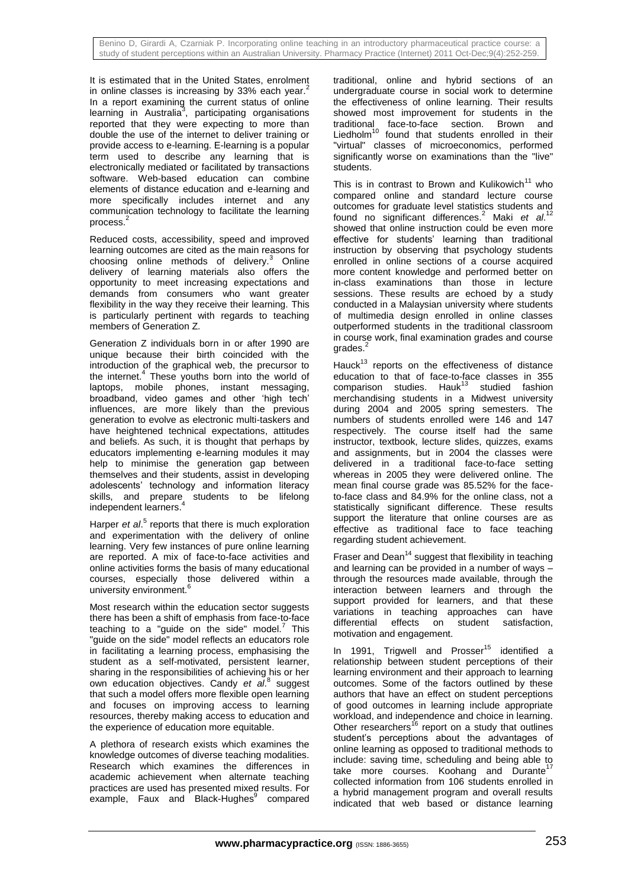It is estimated that in the United States, enrolment in online classes is increasing by 33% each year.<sup>2</sup> In a report examining the current status of online learning in Australia<sup>3</sup>, participating organisations reported that they were expecting to more than double the use of the internet to deliver training or provide access to e-learning. E-learning is a popular term used to describe any learning that is electronically mediated or facilitated by transactions software. Web-based education can combine elements of distance education and e-learning and more specifically includes internet and any communication technology to facilitate the learning process.<sup>2</sup>

Reduced costs, accessibility, speed and improved learning outcomes are cited as the main reasons for choosing online methods of delivery.<sup>3</sup> Online delivery of learning materials also offers the opportunity to meet increasing expectations and demands from consumers who want greater flexibility in the way they receive their learning. This is particularly pertinent with regards to teaching members of Generation Z.

Generation Z individuals born in or after 1990 are unique because their birth coincided with the introduction of the graphical web, the precursor to the internet.<sup>4</sup> These youths born into the world of laptops, mobile phones, instant messaging, broadband, video games and other 'high tech' influences, are more likely than the previous generation to evolve as electronic multi-taskers and have heightened technical expectations, attitudes and beliefs. As such, it is thought that perhaps by educators implementing e-learning modules it may help to minimise the generation gap between themselves and their students, assist in developing adolescents' technology and information literacy skills, and prepare students to be lifelong independent learners.<sup>4</sup>

Harper *et al.*<sup>5</sup> reports that there is much exploration and experimentation with the delivery of online learning. Very few instances of pure online learning are reported. A mix of face-to-face activities and online activities forms the basis of many educational courses, especially those delivered within a university environment.<sup>6</sup>

Most research within the education sector suggests there has been a shift of emphasis from face-to-face teaching to a "guide on the side" model. $^7$  This "guide on the side" model reflects an educators role in facilitating a learning process, emphasising the student as a self-motivated, persistent learner, sharing in the responsibilities of achieving his or her own education objectives. Candy et al.<sup>8</sup> suggest that such a model offers more flexible open learning and focuses on improving access to learning resources, thereby making access to education and the experience of education more equitable.

A plethora of research exists which examines the knowledge outcomes of diverse teaching modalities. Research which examines the differences in academic achievement when alternate teaching practices are used has presented mixed results. For example, Faux and Black-Hughes<sup>9</sup> compared traditional, online and hybrid sections of an undergraduate course in social work to determine the effectiveness of online learning. Their results showed most improvement for students in the traditional face-to-face section. Brown and Liedholm<sup>10</sup> found that students enrolled in their "virtual" classes of microeconomics, performed significantly worse on examinations than the "live" students.

This is in contrast to Brown and Kulikowich<sup>11</sup> who compared online and standard lecture course outcomes for graduate level statistics students and found no significant differences.<sup>2</sup> Maki et al.<sup>12</sup> showed that online instruction could be even more effective for students' learning than traditional instruction by observing that psychology students enrolled in online sections of a course acquired more content knowledge and performed better on in-class examinations than those in lecture sessions. These results are echoed by a study conducted in a Malaysian university where students of multimedia design enrolled in online classes outperformed students in the traditional classroom in course work, final examination grades and course grades.<sup>2</sup>

Hauck $13$  reports on the effectiveness of distance education to that of face-to-face classes in 355  $\frac{1}{2}$  comparison studies. Hauk<sup>13</sup> studied fashion merchandising students in a Midwest university during 2004 and 2005 spring semesters. The numbers of students enrolled were 146 and 147 respectively. The course itself had the same instructor, textbook, lecture slides, quizzes, exams and assignments, but in 2004 the classes were delivered in a traditional face-to-face setting whereas in 2005 they were delivered online. The mean final course grade was 85.52% for the faceto-face class and 84.9% for the online class, not a statistically significant difference. These results support the literature that online courses are as effective as traditional face to face teaching regarding student achievement.

Fraser and Dean<sup>14</sup> suggest that flexibility in teaching and learning can be provided in a number of ways – through the resources made available, through the interaction between learners and through the support provided for learners, and that these variations in teaching approaches can have differential effects on student satisfaction, motivation and engagement.

In 1991, Trigwell and Prosser<sup>15</sup> identified a relationship between student perceptions of their learning environment and their approach to learning outcomes. Some of the factors outlined by these authors that have an effect on student perceptions of good outcomes in learning include appropriate workload, and independence and choice in learning. Other researchers<sup>16</sup> report on a study that outlines student's perceptions about the advantages of online learning as opposed to traditional methods to include: saving time, scheduling and being able to take more courses. Koohang and Durante<sup>1</sup> collected information from 106 students enrolled in a hybrid management program and overall results indicated that web based or distance learning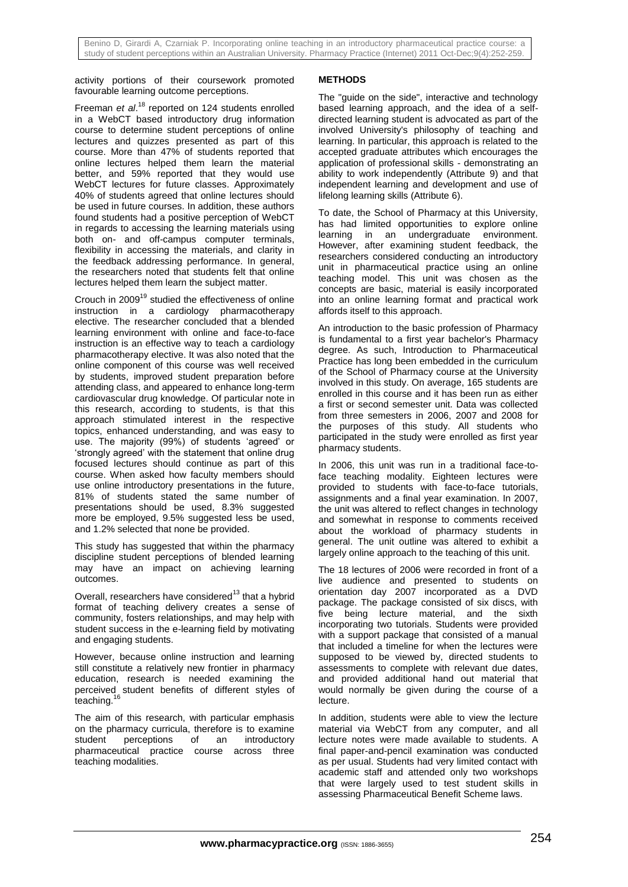activity portions of their coursework promoted favourable learning outcome perceptions.

Freeman *et al*. <sup>18</sup> reported on 124 students enrolled in a WebCT based introductory drug information course to determine student perceptions of online lectures and quizzes presented as part of this course. More than 47% of students reported that online lectures helped them learn the material better, and 59% reported that they would use WebCT lectures for future classes. Approximately 40% of students agreed that online lectures should be used in future courses. In addition, these authors found students had a positive perception of WebCT in regards to accessing the learning materials using both on- and off-campus computer terminals, flexibility in accessing the materials, and clarity in the feedback addressing performance. In general, the researchers noted that students felt that online lectures helped them learn the subject matter.

Crouch in 2009<sup>19</sup> studied the effectiveness of online instruction in a cardiology pharmacotherapy elective. The researcher concluded that a blended learning environment with online and face-to-face instruction is an effective way to teach a cardiology pharmacotherapy elective. It was also noted that the online component of this course was well received by students, improved student preparation before attending class, and appeared to enhance long-term cardiovascular drug knowledge. Of particular note in this research, according to students, is that this approach stimulated interest in the respective topics, enhanced understanding, and was easy to use. The majority (99%) of students 'agreed' or 'strongly agreed' with the statement that online drug focused lectures should continue as part of this course. When asked how faculty members should use online introductory presentations in the future, 81% of students stated the same number of presentations should be used, 8.3% suggested more be employed, 9.5% suggested less be used, and 1.2% selected that none be provided.

This study has suggested that within the pharmacy discipline student perceptions of blended learning may have an impact on achieving learning outcomes.

Overall, researchers have considered $13$  that a hybrid format of teaching delivery creates a sense of community, fosters relationships, and may help with student success in the e-learning field by motivating and engaging students.

However, because online instruction and learning still constitute a relatively new frontier in pharmacy education, research is needed examining the perceived student benefits of different styles of teaching.

The aim of this research, with particular emphasis on the pharmacy curricula, therefore is to examine student perceptions of an introductory pharmaceutical practice course across three teaching modalities.

## **METHODS**

The "guide on the side", interactive and technology based learning approach, and the idea of a selfdirected learning student is advocated as part of the involved University's philosophy of teaching and learning. In particular, this approach is related to the accepted graduate attributes which encourages the application of professional skills - demonstrating an ability to work independently (Attribute 9) and that independent learning and development and use of lifelong learning skills (Attribute 6).

To date, the School of Pharmacy at this University, has had limited opportunities to explore online learning in an undergraduate environment. However, after examining student feedback, the researchers considered conducting an introductory unit in pharmaceutical practice using an online teaching model. This unit was chosen as the concepts are basic, material is easily incorporated into an online learning format and practical work affords itself to this approach.

An introduction to the basic profession of Pharmacy is fundamental to a first year bachelor's Pharmacy degree. As such, Introduction to Pharmaceutical Practice has long been embedded in the curriculum of the School of Pharmacy course at the University involved in this study. On average, 165 students are enrolled in this course and it has been run as either a first or second semester unit. Data was collected from three semesters in 2006, 2007 and 2008 for the purposes of this study. All students who participated in the study were enrolled as first year pharmacy students.

In 2006, this unit was run in a traditional face-toface teaching modality. Eighteen lectures were provided to students with face-to-face tutorials, assignments and a final year examination. In 2007, the unit was altered to reflect changes in technology and somewhat in response to comments received about the workload of pharmacy students in general. The unit outline was altered to exhibit a largely online approach to the teaching of this unit.

The 18 lectures of 2006 were recorded in front of a live audience and presented to students on orientation day 2007 incorporated as a DVD package. The package consisted of six discs, with five being lecture material, and the sixth incorporating two tutorials. Students were provided with a support package that consisted of a manual that included a timeline for when the lectures were supposed to be viewed by, directed students to assessments to complete with relevant due dates, and provided additional hand out material that would normally be given during the course of a lecture.

In addition, students were able to view the lecture material via WebCT from any computer, and all lecture notes were made available to students. A final paper-and-pencil examination was conducted as per usual. Students had very limited contact with academic staff and attended only two workshops that were largely used to test student skills in assessing Pharmaceutical Benefit Scheme laws.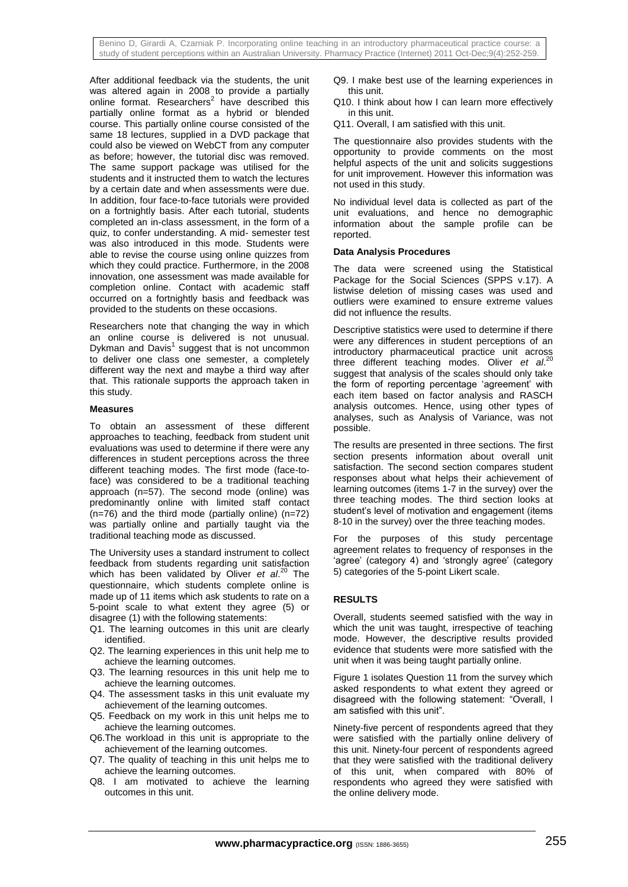After additional feedback via the students, the unit was altered again in 2008 to provide a partially online format. Researchers<sup>2</sup> have described this partially online format as a hybrid or blended course. This partially online course consisted of the same 18 lectures, supplied in a DVD package that could also be viewed on WebCT from any computer as before; however, the tutorial disc was removed. The same support package was utilised for the students and it instructed them to watch the lectures by a certain date and when assessments were due. In addition, four face-to-face tutorials were provided on a fortnightly basis. After each tutorial, students completed an in-class assessment, in the form of a quiz, to confer understanding. A mid- semester test was also introduced in this mode. Students were able to revise the course using online quizzes from which they could practice. Furthermore, in the 2008 innovation, one assessment was made available for completion online. Contact with academic staff occurred on a fortnightly basis and feedback was provided to the students on these occasions.

Researchers note that changing the way in which an online course is delivered is not unusual. Dykman and Davis<sup>1</sup> suggest that is not uncommon to deliver one class one semester, a completely different way the next and maybe a third way after that. This rationale supports the approach taken in this study.

### **Measures**

To obtain an assessment of these different approaches to teaching, feedback from student unit evaluations was used to determine if there were any differences in student perceptions across the three different teaching modes. The first mode (face-toface) was considered to be a traditional teaching approach (n=57). The second mode (online) was predominantly online with limited staff contact  $(n=76)$  and the third mode (partially online) (n=72) was partially online and partially taught via the traditional teaching mode as discussed.

The University uses a standard instrument to collect feedback from students regarding unit satisfaction which has been validated by Oliver *et al*. <sup>20</sup> The questionnaire, which students complete online is made up of 11 items which ask students to rate on a 5-point scale to what extent they agree (5) or disagree (1) with the following statements:

- Q1. The learning outcomes in this unit are clearly identified.
- Q2. The learning experiences in this unit help me to achieve the learning outcomes.
- Q3. The learning resources in this unit help me to achieve the learning outcomes.
- Q4. The assessment tasks in this unit evaluate my achievement of the learning outcomes.
- Q5. Feedback on my work in this unit helps me to achieve the learning outcomes.
- Q6.The workload in this unit is appropriate to the achievement of the learning outcomes.
- Q7. The quality of teaching in this unit helps me to achieve the learning outcomes.
- Q8. I am motivated to achieve the learning outcomes in this unit.
- Q9. I make best use of the learning experiences in this unit.
- Q10. I think about how I can learn more effectively in this unit.
- Q11. Overall, I am satisfied with this unit.

The questionnaire also provides students with the opportunity to provide comments on the most helpful aspects of the unit and solicits suggestions for unit improvement. However this information was not used in this study.

No individual level data is collected as part of the unit evaluations, and hence no demographic information about the sample profile can be reported.

### **Data Analysis Procedures**

The data were screened using the Statistical Package for the Social Sciences (SPPS v.17). A listwise deletion of missing cases was used and outliers were examined to ensure extreme values did not influence the results.

Descriptive statistics were used to determine if there were any differences in student perceptions of an introductory pharmaceutical practice unit across<br>three different teaching modes. Oliver at  $2^{20}$ three different teaching modes. Oliver *et al*. suggest that analysis of the scales should only take the form of reporting percentage 'agreement' with each item based on factor analysis and RASCH analysis outcomes. Hence, using other types of analyses, such as Analysis of Variance, was not possible.

The results are presented in three sections. The first section presents information about overall unit satisfaction. The second section compares student responses about what helps their achievement of learning outcomes (items 1-7 in the survey) over the three teaching modes. The third section looks at student's level of motivation and engagement (items 8-10 in the survey) over the three teaching modes.

For the purposes of this study percentage agreement relates to frequency of responses in the 'agree' (category 4) and 'strongly agree' (category 5) categories of the 5-point Likert scale.

## **RESULTS**

Overall, students seemed satisfied with the way in which the unit was taught, irrespective of teaching mode. However, the descriptive results provided evidence that students were more satisfied with the unit when it was being taught partially online.

Figure 1 isolates Question 11 from the survey which asked respondents to what extent they agreed or disagreed with the following statement: "Overall, I am satisfied with this unit".

Ninety-five percent of respondents agreed that they were satisfied with the partially online delivery of this unit. Ninety-four percent of respondents agreed that they were satisfied with the traditional delivery of this unit, when compared with 80% of respondents who agreed they were satisfied with the online delivery mode.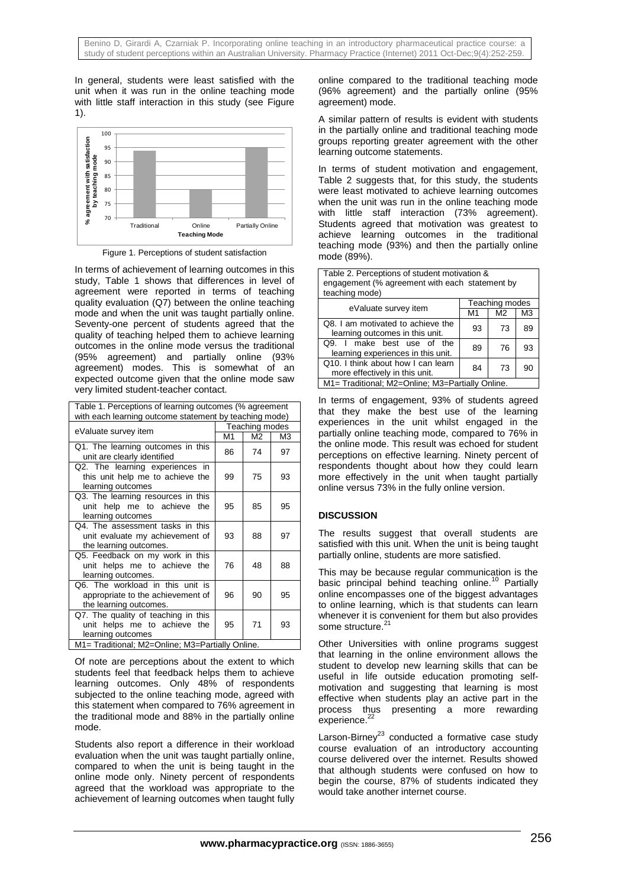In general, students were least satisfied with the unit when it was run in the online teaching mode with little staff interaction in this study (see Figure 1).



Figure 1. Perceptions of student satisfaction

In terms of achievement of learning outcomes in this study, Table 1 shows that differences in level of agreement were reported in terms of teaching quality evaluation (Q7) between the online teaching mode and when the unit was taught partially online. Seventy-one percent of students agreed that the quality of teaching helped them to achieve learning outcomes in the online mode versus the traditional (95% agreement) and partially online (93% agreement) modes. This is somewhat of an expected outcome given that the online mode saw very limited student-teacher contact.

| Table 1. Perceptions of learning outcomes (% agreement<br>with each learning outcome statement by teaching mode) |                |                |                |  |
|------------------------------------------------------------------------------------------------------------------|----------------|----------------|----------------|--|
| eValuate survey item                                                                                             | Teaching modes |                |                |  |
|                                                                                                                  | M1             | M <sub>2</sub> | M <sub>3</sub> |  |
| Q1. The learning outcomes in this<br>unit are clearly identified                                                 | 86             | 74             | 97             |  |
| Q2. The learning experiences in<br>this unit help me to achieve the<br>learning outcomes                         | 99             | 75             | 93             |  |
| Q3. The learning resources in this<br>unit help me to achieve the<br>learning outcomes                           | 95             | 85             | 95             |  |
| Q4. The assessment tasks in this<br>unit evaluate my achievement of<br>the learning outcomes.                    | 93             | 88             | 97             |  |
| Q5. Feedback on my work in this<br>unit helps me to achieve the<br>learning outcomes.                            | 76             | 48             | 88             |  |
| Q6. The workload in this unit is<br>appropriate to the achievement of<br>the learning outcomes.                  | 96             | 90             | 95             |  |
| Q7. The quality of teaching in this<br>unit helps me to achieve the<br>learning outcomes                         | 95             | 71             | 93             |  |
| M1= Traditional; M2=Online; M3=Partially Online.                                                                 |                |                |                |  |

Of note are perceptions about the extent to which students feel that feedback helps them to achieve learning outcomes. Only 48% of respondents subjected to the online teaching mode, agreed with this statement when compared to 76% agreement in the traditional mode and 88% in the partially online mode.

Students also report a difference in their workload evaluation when the unit was taught partially online, compared to when the unit is being taught in the online mode only. Ninety percent of respondents agreed that the workload was appropriate to the achievement of learning outcomes when taught fully

online compared to the traditional teaching mode (96% agreement) and the partially online (95% agreement) mode.

A similar pattern of results is evident with students in the partially online and traditional teaching mode groups reporting greater agreement with the other learning outcome statements.

In terms of student motivation and engagement, Table 2 suggests that, for this study, the students were least motivated to achieve learning outcomes when the unit was run in the online teaching mode with little staff interaction (73% agreement). Students agreed that motivation was greatest to achieve learning outcomes in the traditional teaching mode (93%) and then the partially online mode (89%).

Table 2. Perceptions of student motivation & engagement (% agreement with each statement by teaching mode)

| eValuate survey item                                                 | Teaching modes |                |    |
|----------------------------------------------------------------------|----------------|----------------|----|
|                                                                      | M1             | M <sub>2</sub> | M3 |
| Q8. I am motivated to achieve the<br>learning outcomes in this unit. | 93             | 73             | 89 |
| make best use of the<br>O.9.<br>learning experiences in this unit.   | 89             | 76             | 93 |
| Q10. I think about how I can learn<br>more effectively in this unit. | 84             | 73             | 90 |
| M1= Traditional; M2=Online; M3=Partially Online.                     |                |                |    |

In terms of engagement, 93% of students agreed that they make the best use of the learning experiences in the unit whilst engaged in the partially online teaching mode, compared to 76% in the online mode. This result was echoed for student perceptions on effective learning. Ninety percent of respondents thought about how they could learn more effectively in the unit when taught partially online versus 73% in the fully online version.

## **DISCUSSION**

The results suggest that overall students are satisfied with this unit. When the unit is being taught partially online, students are more satisfied.

This may be because regular communication is the basic principal behind teaching online.<sup>10</sup> Partially online encompasses one of the biggest advantages to online learning, which is that students can learn whenever it is convenient for them but also provides some structure.<sup>21</sup>

Other Universities with online programs suggest that learning in the online environment allows the student to develop new learning skills that can be useful in life outside education promoting selfmotivation and suggesting that learning is most effective when students play an active part in the process thus presenting a more rewarding experience.<sup>22</sup>

Larson-Birney<sup>23</sup> conducted a formative case study course evaluation of an introductory accounting course delivered over the internet. Results showed that although students were confused on how to begin the course, 87% of students indicated they would take another internet course.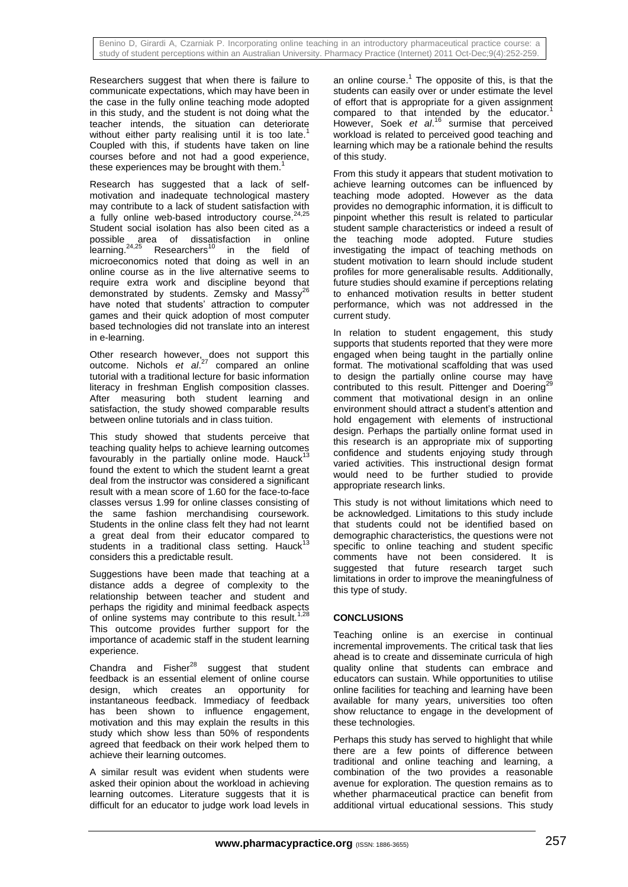Researchers suggest that when there is failure to communicate expectations, which may have been in the case in the fully online teaching mode adopted in this study, and the student is not doing what the teacher intends, the situation can deteriorate without either party realising until it is too late.<sup>1</sup> Coupled with this, if students have taken on line courses before and not had a good experience, these experiences may be brought with them.

Research has suggested that a lack of selfmotivation and inadequate technological mastery may contribute to a lack of student satisfaction with a fully online web-based introductory course. $24,25$ Student social isolation has also been cited as a possible area of dissatisfaction in online learning.<sup>24,25</sup> Researchers<sup>10</sup> in the field of microeconomics noted that doing as well in an online course as in the live alternative seems to require extra work and discipline beyond that demonstrated by students. Zemsky and Massy<sup>26</sup> have noted that students' attraction to computer games and their quick adoption of most computer based technologies did not translate into an interest in e-learning.

Other research however, does not support this outcome. Nichols *et al*. <sup>27</sup> compared an online tutorial with a traditional lecture for basic information literacy in freshman English composition classes. After measuring both student learning and satisfaction, the study showed comparable results between online tutorials and in class tuition.

This study showed that students perceive that teaching quality helps to achieve learning outcomes favourably in the partially online mode. Hauck<sup>1</sup> found the extent to which the student learnt a great deal from the instructor was considered a significant result with a mean score of 1.60 for the face-to-face classes versus 1.99 for online classes consisting of the same fashion merchandising coursework. Students in the online class felt they had not learnt a great deal from their educator compared to students in a traditional class setting. Hauck<sup>13</sup> considers this a predictable result.

Suggestions have been made that teaching at a distance adds a degree of complexity to the relationship between teacher and student and perhaps the rigidity and minimal feedback aspects of online systems may contribute to this result.<sup>1,28</sup> This outcome provides further support for the importance of academic staff in the student learning experience.

Chandra and Fisher $^{28}$  suggest that student feedback is an essential element of online course design, which creates an opportunity for instantaneous feedback. Immediacy of feedback has been shown to influence engagement, motivation and this may explain the results in this study which show less than 50% of respondents agreed that feedback on their work helped them to achieve their learning outcomes.

A similar result was evident when students were asked their opinion about the workload in achieving learning outcomes. Literature suggests that it is difficult for an educator to judge work load levels in

an online course.<sup>1</sup> The opposite of this, is that the students can easily over or under estimate the level of effort that is appropriate for a given assignment compared to that intended by the educator.<sup>1</sup> However, Soek et al.<sup>16</sup> surmise that perceived workload is related to perceived good teaching and learning which may be a rationale behind the results of this study.

From this study it appears that student motivation to achieve learning outcomes can be influenced by teaching mode adopted. However as the data provides no demographic information, it is difficult to pinpoint whether this result is related to particular student sample characteristics or indeed a result of the teaching mode adopted. Future studies investigating the impact of teaching methods on student motivation to learn should include student profiles for more generalisable results. Additionally, future studies should examine if perceptions relating to enhanced motivation results in better student performance, which was not addressed in the current study.

In relation to student engagement, this study supports that students reported that they were more engaged when being taught in the partially online format. The motivational scaffolding that was used to design the partially online course may have contributed to this result. Pittenger and Doering<sup>2</sup> comment that motivational design in an online environment should attract a student's attention and hold engagement with elements of instructional design. Perhaps the partially online format used in this research is an appropriate mix of supporting confidence and students enjoying study through varied activities. This instructional design format would need to be further studied to provide appropriate research links.

This study is not without limitations which need to be acknowledged. Limitations to this study include that students could not be identified based on demographic characteristics, the questions were not specific to online teaching and student specific comments have not been considered. It is suggested that future research target such limitations in order to improve the meaningfulness of this type of study.

## **CONCLUSIONS**

Teaching online is an exercise in continual incremental improvements. The critical task that lies ahead is to create and disseminate curricula of high quality online that students can embrace and educators can sustain. While opportunities to utilise online facilities for teaching and learning have been available for many years, universities too often show reluctance to engage in the development of these technologies.

Perhaps this study has served to highlight that while there are a few points of difference between traditional and online teaching and learning, a combination of the two provides a reasonable avenue for exploration. The question remains as to whether pharmaceutical practice can benefit from additional virtual educational sessions. This study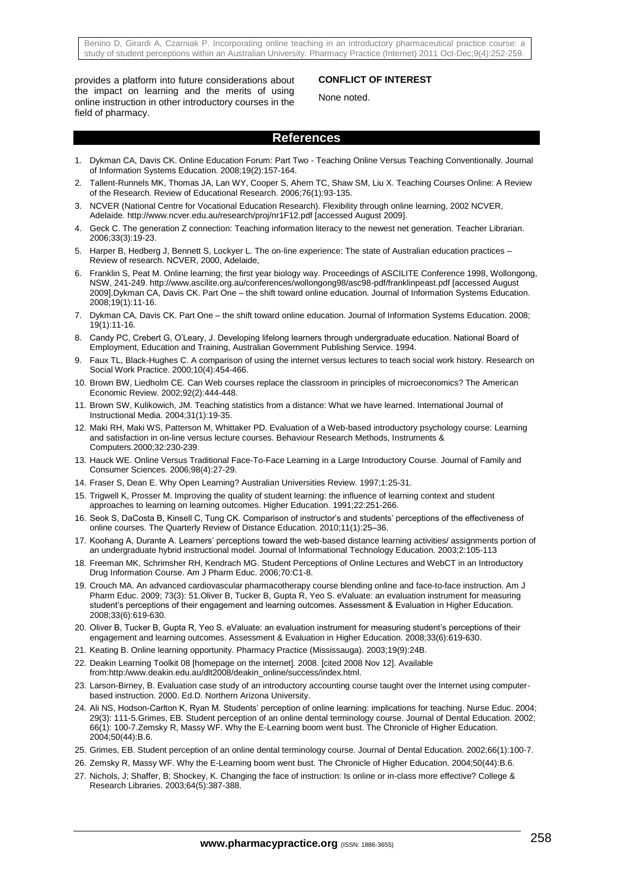Benino D, Girardi A, Czarniak P. Incorporating online teaching in an introductory pharmaceutical practice course: a study of student perceptions within an Australian University. Pharmacy Practice (Internet) 2011 Oct-Dec;9(4):252-259.

provides a platform into future considerations about the impact on learning and the merits of using online instruction in other introductory courses in the field of pharmacy.

#### **CONFLICT OF INTEREST**

None noted.

### **References**

- 1. Dykman CA, Davis CK. Online Education Forum: Part Two Teaching Online Versus Teaching Conventionally. Journal of Information Systems Education. 2008;19(2):157-164.
- 2. Tallent-Runnels MK, Thomas JA, Lan WY, Cooper S, Ahern TC, Shaw SM, Liu X. Teaching Courses Online: A Review of the Research. Review of Educational Research. 2006;76(1):93-135.
- 3. NCVER (National Centre for Vocational Education Research). Flexibility through online learning, 2002 NCVER, Adelaide. http://www.ncver.edu.au/research/proj/nr1F12.pdf [accessed August 2009].
- 4. Geck C. The generation Z connection: Teaching information literacy to the newest net generation. Teacher Librarian. 2006;33(3):19-23.
- 5. Harper B, Hedberg J, Bennett S, Lockyer L. The on-line experience: The state of Australian education practices Review of research. NCVER, 2000, Adelaide,
- 6. Franklin S, Peat M. Online learning; the first year biology way. Proceedings of ASCILITE Conference 1998, Wollongong, NSW, 241-249. http://www.ascilite.org.au/conferences/wollongong98/asc98-pdf/franklinpeast.pdf [accessed August 2009].Dykman CA, Davis CK. Part One – the shift toward online education. Journal of Information Systems Education. 2008;19(1):11-16.
- 7. Dykman CA, Davis CK. Part One the shift toward online education. Journal of Information Systems Education. 2008; 19(1):11-16.
- 8. Candy PC, Crebert G, O'Leary, J. Developing lifelong learners through undergraduate education. National Board of Employment, Education and Training, Australian Government Publishing Service. 1994.
- 9. Faux TL, Black-Hughes C. A comparison of using the internet versus lectures to teach social work history. Research on Social Work Practice. 2000;10(4):454-466.
- 10. Brown BW, Liedholm CE. Can Web courses replace the classroom in principles of microeconomics? The American Economic Review. 2002;92(2):444-448.
- 11. Brown SW, Kulikowich, JM. Teaching statistics from a distance: What we have learned. International Journal of Instructional Media. 2004;31(1):19-35.
- 12. Maki RH, Maki WS, Patterson M, Whittaker PD. Evaluation of a Web-based introductory psychology course: Learning and satisfaction in on-line versus lecture courses. Behaviour Research Methods, Instruments & Computers.2000;32:230-239.
- 13. Hauck WE. Online Versus Traditional Face-To-Face Learning in a Large Introductory Course. Journal of Family and Consumer Sciences. 2006;98(4):27-29.
- 14. Fraser S, Dean E. Why Open Learning? Australian Universities Review. 1997;1:25-31.
- 15. Trigwell K, Prosser M. Improving the quality of student learning: the influence of learning context and student approaches to learning on learning outcomes. Higher Education. 1991;22:251-266.
- 16. Seok S, DaCosta B, Kinsell C, Tung CK. Comparison of instructor's and students' perceptions of the effectiveness of online courses. The Quarterly Review of Distance Education. 2010;11(1):25–36.
- 17. Koohang A, Durante A. Learners' perceptions toward the web-based distance learning activities/ assignments portion of an undergraduate hybrid instructional model. Journal of Informational Technology Education. 2003;2:105-113
- 18. Freeman MK, Schrimsher RH, Kendrach MG. Student Perceptions of Online Lectures and WebCT in an Introductory Drug Information Course. Am J Pharm Educ. 2006;70:C1-8.
- 19. Crouch MA. An advanced cardiovascular pharmacotherapy course blending online and face-to-face instruction. Am J Pharm Educ. 2009; 73(3): 51.Oliver B, Tucker B, Gupta R, Yeo S. eValuate: an evaluation instrument for measuring student's perceptions of their engagement and learning outcomes. Assessment & Evaluation in Higher Education. 2008;33(6):619-630.
- 20. Oliver B, Tucker B, Gupta R, Yeo S. eValuate: an evaluation instrument for measuring student's perceptions of their engagement and learning outcomes. Assessment & Evaluation in Higher Education. 2008;33(6):619-630.
- 21. Keating B. Online learning opportunity. Pharmacy Practice (Mississauga). 2003;19(9):24B.
- 22. Deakin Learning Toolkit 08 [homepage on the internet]. 2008. [cited 2008 Nov 12]. Available from:http:/www.deakin.edu.au/dlt2008/deakin\_online/success/index.html.
- 23. Larson-Birney, B. Evaluation case study of an introductory accounting course taught over the Internet using computerbased instruction. 2000. Ed.D. Northern Arizona University.
- 24. Ali NS, Hodson-Carlton K, Ryan M. Students' perception of online learning: implications for teaching. Nurse Educ. 2004; 29(3): 111-5.Grimes, EB. Student perception of an online dental terminology course. Journal of Dental Education. 2002; 66(1): 100-7.Zemsky R, Massy WF. Why the E-Learning boom went bust. The Chronicle of Higher Education. 2004;50(44):B.6.
- 25. Grimes, EB. Student perception of an online dental terminology course. Journal of Dental Education. 2002;66(1):100-7.
- 26. Zemsky R, Massy WF. Why the E-Learning boom went bust. The Chronicle of Higher Education. 2004;50(44):B.6.
- 27. Nichols, J; Shaffer, B; Shockey, K. Changing the face of instruction: Is online or in-class more effective? College & Research Libraries. 2003;64(5):387-388.